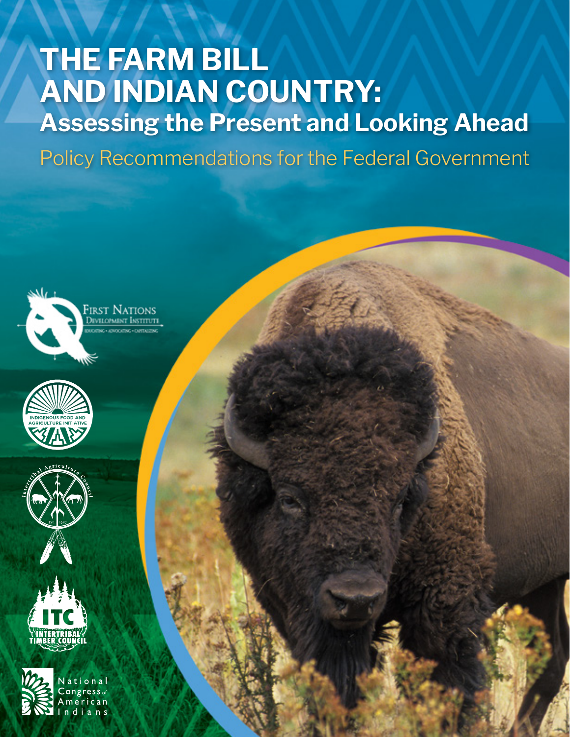# **THE FARM BILL AND INDIAN COUNTRY: Assessing the Present and Looking Ahead**

Policy Recommendations for the Federal Government









ational  $ongress<sub>of</sub>$ erican **1** *Policians for the Federal Government and Federal Government at Federal Government* **and Federal Government**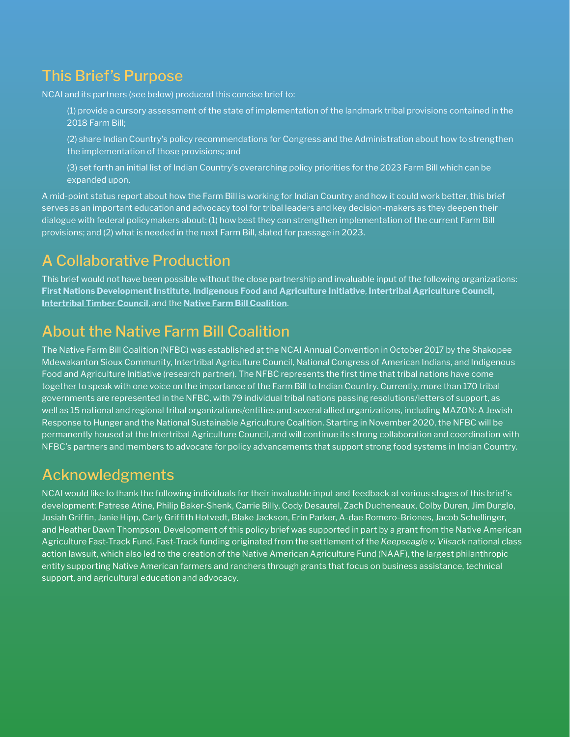# This Brief's Purpose

NCAI and its partners (see below) produced this concise brief to:

 (1) provide a cursory assessment of the state of implementation of the landmark tribal provisions contained in the 2018 Farm Bill;

 (2) share Indian Country's policy recommendations for Congress and the Administration about how to strengthen the implementation of those provisions; and

 (3) set forth an initial list of Indian Country's overarching policy priorities for the 2023 Farm Bill which can be expanded upon.

A mid-point status report about how the Farm Bill is working for Indian Country and how it could work better, this brief serves as an important education and advocacy tool for tribal leaders and key decision-makers as they deepen their dialogue with federal policymakers about: (1) how best they can strengthen implementation of the current Farm Bill provisions; and (2) what is needed in the next Farm Bill, slated for passage in 2023.

# A Collaborative Production

This brief would not have been possible without the close partnership and invaluable input of the following organizations: **[First Nations Development Institute](https://www.firstnations.org/)**, **[Indigenous Food and Agriculture Initiative](https://indigenousfoodandag.com/)**, **[Intertribal Agriculture Council](https://www.indianag.org/)**, **[Intertribal Timber Council](https://www.itcnet.org/)**, and the **[Native Farm Bill Coalition](https://indigenousfoodandag.com/resources/native-farm-bill-coalition/)**.

# About the Native Farm Bill Coalition

The Native Farm Bill Coalition (NFBC) was established at the NCAI Annual Convention in October 2017 by the Shakopee Mdewakanton Sioux Community, Intertribal Agriculture Council, National Congress of American Indians, and Indigenous Food and Agriculture Initiative (research partner). The NFBC represents the first time that tribal nations have come together to speak with one voice on the importance of the Farm Bill to Indian Country. Currently, more than 170 tribal governments are represented in the NFBC, with 79 individual tribal nations passing resolutions/letters of support, as well as 15 national and regional tribal organizations/entities and several allied organizations, including MAZON: A Jewish Response to Hunger and the National Sustainable Agriculture Coalition. Starting in November 2020, the NFBC will be permanently housed at the Intertribal Agriculture Council, and will continue its strong collaboration and coordination with NFBC's partners and members to advocate for policy advancements that support strong food systems in Indian Country.

# Acknowledgments

NCAI would like to thank the following individuals for their invaluable input and feedback at various stages of this brief's development: Patrese Atine, Philip Baker-Shenk, Carrie Billy, Cody Desautel, Zach Ducheneaux, Colby Duren, Jim Durglo, Josiah Griffin, Janie Hipp, Carly Griffith Hotvedt, Blake Jackson, Erin Parker, A-dae Romero-Briones, Jacob Schellinger, and Heather Dawn Thompson. Development of this policy brief was supported in part by a grant from the Native American Agriculture Fast-Track Fund. Fast-Track funding originated from the settlement of the *Keepseagle v. Vilsack* national class action lawsuit, which also led to the creation of the Native American Agriculture Fund (NAAF), the largest philanthropic entity supporting Native American farmers and ranchers through grants that focus on business assistance, technical support, and agricultural education and advocacy.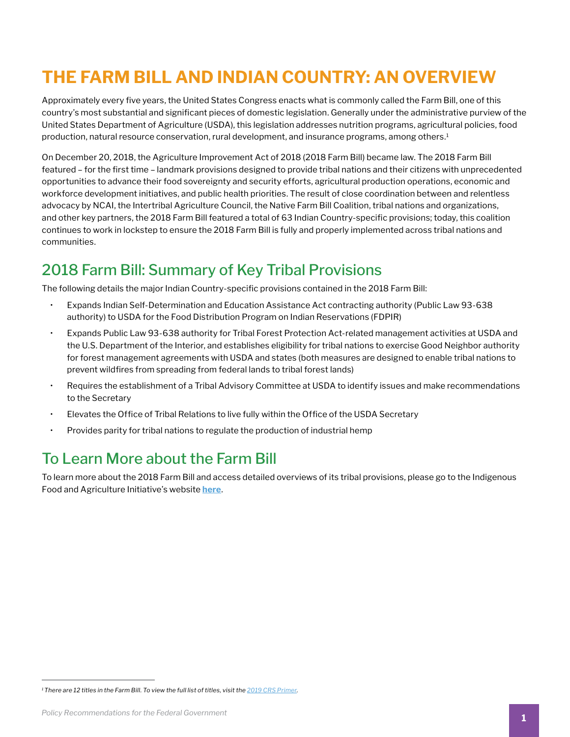# **THE FARM BILL AND INDIAN COUNTRY: AN OVERVIEW**

Approximately every five years, the United States Congress enacts what is commonly called the Farm Bill, one of this country's most substantial and significant pieces of domestic legislation. Generally under the administrative purview of the United States Department of Agriculture (USDA), this legislation addresses nutrition programs, agricultural policies, food production, natural resource conservation, rural development, and insurance programs, among others.<sup>1</sup>

On December 20, 2018, the Agriculture Improvement Act of 2018 (2018 Farm Bill) became law. The 2018 Farm Bill featured – for the first time – landmark provisions designed to provide tribal nations and their citizens with unprecedented opportunities to advance their food sovereignty and security efforts, agricultural production operations, economic and workforce development initiatives, and public health priorities. The result of close coordination between and relentless advocacy by NCAI, the Intertribal Agriculture Council, the Native Farm Bill Coalition, tribal nations and organizations, and other key partners, the 2018 Farm Bill featured a total of 63 Indian Country-specific provisions; today, this coalition continues to work in lockstep to ensure the 2018 Farm Bill is fully and properly implemented across tribal nations and communities.

### 2018 Farm Bill: Summary of Key Tribal Provisions

The following details the major Indian Country-specific provisions contained in the 2018 Farm Bill:

- Expands Indian Self-Determination and Education Assistance Act contracting authority (Public Law 93-638 authority) to USDA for the Food Distribution Program on Indian Reservations (FDPIR)
- Expands Public Law 93-638 authority for Tribal Forest Protection Act-related management activities at USDA and the U.S. Department of the Interior, and establishes eligibility for tribal nations to exercise Good Neighbor authority for forest management agreements with USDA and states (both measures are designed to enable tribal nations to prevent wildfires from spreading from federal lands to tribal forest lands)
- Requires the establishment of a Tribal Advisory Committee at USDA to identify issues and make recommendations to the Secretary
- Elevates the Office of Tribal Relations to live fully within the Office of the USDA Secretary
- Provides parity for tribal nations to regulate the production of industrial hemp

# To Learn More about the Farm Bill

To learn more about the 2018 Farm Bill and access detailed overviews of its tribal provisions, please go to the Indigenous Food and Agriculture Initiative's website **[here](https://indigenousfoodandag.com/)**.

*<sup>1</sup> There are 12 titles in the Farm Bill. To view the full list of titles, visit the [2019 CRS Primer.](https://crsreports.congress.gov/product/pdf/IF/IF11126)*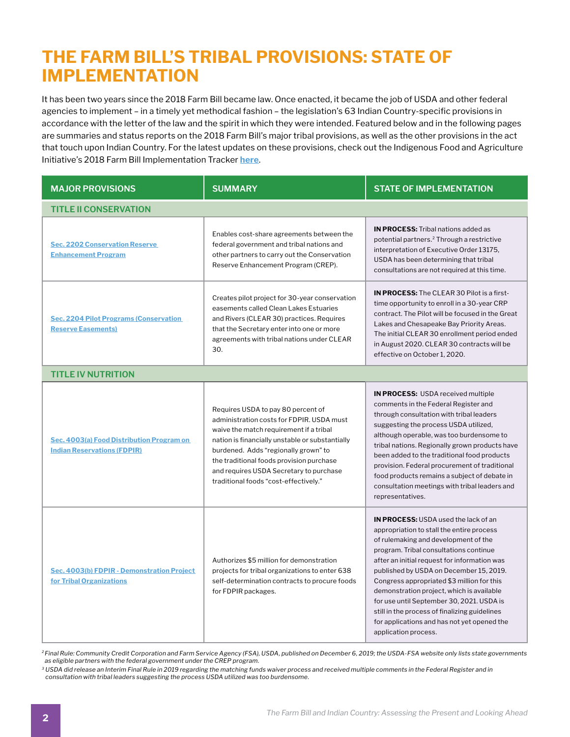# **THE FARM BILL'S TRIBAL PROVISIONS: STATE OF IMPLEMENTATION**

It has been two years since the 2018 Farm Bill became law. Once enacted, it became the job of USDA and other federal agencies to implement – in a timely yet methodical fashion – the legislation's 63 Indian Country-specific provisions in accordance with the letter of the law and the spirit in which they were intended. Featured below and in the following pages are summaries and status reports on the 2018 Farm Bill's major tribal provisions, as well as the other provisions in the act that touch upon Indian Country. For the latest updates on these provisions, check out the Indigenous Food and Agriculture Initiative's 2018 Farm Bill Implementation Tracker **[here](https://indigenousfoodandag.com/wp-content/uploads/2020/10/IFAI-2018-Farm-Bill-Tribal-Tracker.pdf)**.

| <b>MAJOR PROVISIONS</b>                                                         | <b>SUMMARY</b>                                                                                                                                                                                                                                                                                                                                        | <b>STATE OF IMPLEMENTATION</b>                                                                                                                                                                                                                                                                                                                                                                                                                                                                                                        |  |
|---------------------------------------------------------------------------------|-------------------------------------------------------------------------------------------------------------------------------------------------------------------------------------------------------------------------------------------------------------------------------------------------------------------------------------------------------|---------------------------------------------------------------------------------------------------------------------------------------------------------------------------------------------------------------------------------------------------------------------------------------------------------------------------------------------------------------------------------------------------------------------------------------------------------------------------------------------------------------------------------------|--|
| <b>TITLE II CONSERVATION</b>                                                    |                                                                                                                                                                                                                                                                                                                                                       |                                                                                                                                                                                                                                                                                                                                                                                                                                                                                                                                       |  |
| <b>Sec. 2202 Conservation Reserve</b><br><b>Enhancement Program</b>             | Enables cost-share agreements between the<br>federal government and tribal nations and<br>other partners to carry out the Conservation<br>Reserve Enhancement Program (CREP).                                                                                                                                                                         | <b>IN PROCESS:</b> Tribal nations added as<br>potential partners. <sup>2</sup> Through a restrictive<br>interpretation of Executive Order 13175,<br>USDA has been determining that tribal<br>consultations are not required at this time.                                                                                                                                                                                                                                                                                             |  |
| <b>Sec. 2204 Pilot Programs (Conservation)</b><br><b>Reserve Easements)</b>     | Creates pilot project for 30-year conservation<br>easements called Clean Lakes Estuaries<br>and Rivers (CLEAR 30) practices. Requires<br>that the Secretary enter into one or more<br>agreements with tribal nations under CLEAR<br>30.                                                                                                               | <b>IN PROCESS:</b> The CLEAR 30 Pilot is a first-<br>time opportunity to enroll in a 30-year CRP<br>contract. The Pilot will be focused in the Great<br>Lakes and Chesapeake Bay Priority Areas.<br>The initial CLEAR 30 enrollment period ended<br>in August 2020. CLEAR 30 contracts will be<br>effective on October 1, 2020.                                                                                                                                                                                                       |  |
| <b>TITLE IV NUTRITION</b>                                                       |                                                                                                                                                                                                                                                                                                                                                       |                                                                                                                                                                                                                                                                                                                                                                                                                                                                                                                                       |  |
| Sec. 4003(a) Food Distribution Program on<br><b>Indian Reservations (FDPIR)</b> | Requires USDA to pay 80 percent of<br>administration costs for FDPIR. USDA must<br>waive the match requirement if a tribal<br>nation is financially unstable or substantially<br>burdened. Adds "regionally grown" to<br>the traditional foods provision purchase<br>and requires USDA Secretary to purchase<br>traditional foods "cost-effectively." | <b>IN PROCESS: USDA received multiple</b><br>comments in the Federal Register and<br>through consultation with tribal leaders<br>suggesting the process USDA utilized,<br>although operable, was too burdensome to<br>tribal nations. Regionally grown products have<br>been added to the traditional food products<br>provision. Federal procurement of traditional<br>food products remains a subject of debate in<br>consultation meetings with tribal leaders and<br>representatives.                                             |  |
| Sec. 4003(b) FDPIR - Demonstration Project<br>for Tribal Organizations          | Authorizes \$5 million for demonstration<br>projects for tribal organizations to enter 638<br>self-determination contracts to procure foods<br>for FDPIR packages.                                                                                                                                                                                    | <b>IN PROCESS: USDA used the lack of an</b><br>appropriation to stall the entire process<br>of rulemaking and development of the<br>program. Tribal consultations continue<br>after an initial request for information was<br>published by USDA on December 15, 2019.<br>Congress appropriated \$3 million for this<br>demonstration project, which is available<br>for use until September 30, 2021. USDA is<br>still in the process of finalizing guidelines<br>for applications and has not yet opened the<br>application process. |  |

*2 Final Rule: Community Credit Corporation and Farm Service Agency (FSA), USDA, published on December 6, 2019; the USDA-FSA website only lists state governments as eligible partners with the federal government under the CREP program.* 

*<sup>3</sup> USDA did release an Interim Final Rule in 2019 regarding the matching funds waiver process and received multiple comments in the Federal Register and in consultation with tribal leaders suggesting the process USDA utilized was too burdensome.*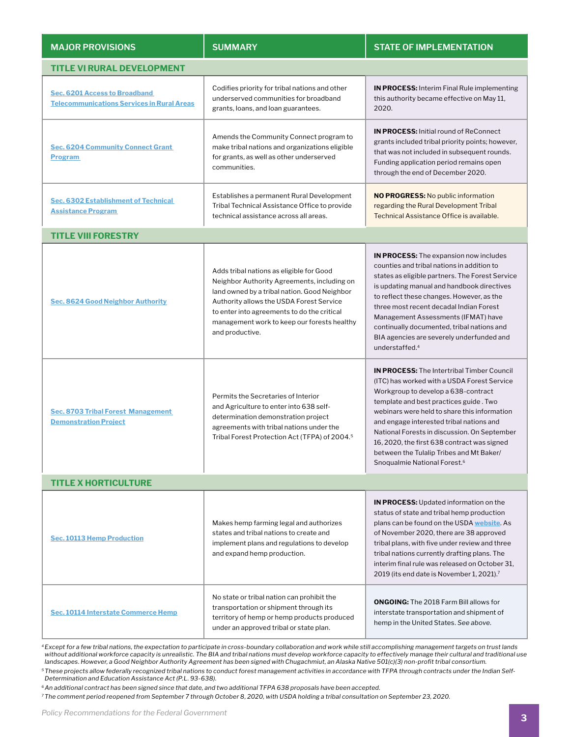| <b>MAJOR PROVISIONS</b>                                                            | <b>SUMMARY</b>                                                                                                                                                                                                                                                                                       | <b>STATE OF IMPLEMENTATION</b>                                                                                                                                                                                                                                                                                                                                                                                                                                       |  |
|------------------------------------------------------------------------------------|------------------------------------------------------------------------------------------------------------------------------------------------------------------------------------------------------------------------------------------------------------------------------------------------------|----------------------------------------------------------------------------------------------------------------------------------------------------------------------------------------------------------------------------------------------------------------------------------------------------------------------------------------------------------------------------------------------------------------------------------------------------------------------|--|
| <b>TITLE VI RURAL DEVELOPMENT</b>                                                  |                                                                                                                                                                                                                                                                                                      |                                                                                                                                                                                                                                                                                                                                                                                                                                                                      |  |
| Sec. 6201 Access to Broadband<br><b>Telecommunications Services in Rural Areas</b> | Codifies priority for tribal nations and other<br>underserved communities for broadband<br>grants, loans, and loan guarantees.                                                                                                                                                                       | <b>IN PROCESS:</b> Interim Final Rule implementing<br>this authority became effective on May 11.<br>2020.                                                                                                                                                                                                                                                                                                                                                            |  |
| <b>Sec. 6204 Community Connect Grant</b><br><b>Program</b>                         | Amends the Community Connect program to<br>make tribal nations and organizations eligible<br>for grants, as well as other underserved<br>communities.                                                                                                                                                | <b>IN PROCESS:</b> Initial round of ReConnect<br>grants included tribal priority points; however,<br>that was not included in subsequent rounds.<br>Funding application period remains open<br>through the end of December 2020.                                                                                                                                                                                                                                     |  |
| Sec. 6302 Establishment of Technical<br><b>Assistance Program</b>                  | Establishes a permanent Rural Development<br>Tribal Technical Assistance Office to provide<br>technical assistance across all areas.                                                                                                                                                                 | <b>NO PROGRESS: No public information</b><br>regarding the Rural Development Tribal<br>Technical Assistance Office is available.                                                                                                                                                                                                                                                                                                                                     |  |
| <b>TITLE VIII FORESTRY</b>                                                         |                                                                                                                                                                                                                                                                                                      |                                                                                                                                                                                                                                                                                                                                                                                                                                                                      |  |
| <b>Sec. 8624 Good Neighbor Authority</b>                                           | Adds tribal nations as eligible for Good<br>Neighbor Authority Agreements, including on<br>land owned by a tribal nation. Good Neighbor<br>Authority allows the USDA Forest Service<br>to enter into agreements to do the critical<br>management work to keep our forests healthy<br>and productive. | <b>IN PROCESS:</b> The expansion now includes<br>counties and tribal nations in addition to<br>states as eligible partners. The Forest Service<br>is updating manual and handbook directives<br>to reflect these changes. However, as the<br>three most recent decadal Indian Forest<br>Management Assessments (IFMAT) have<br>continually documented, tribal nations and<br>BIA agencies are severely underfunded and<br>understaffed. <sup>4</sup>                 |  |
| <b>Sec. 8703 Tribal Forest Management</b><br><b>Demonstration Project</b>          | Permits the Secretaries of Interior<br>and Agriculture to enter into 638 self-<br>determination demonstration project<br>agreements with tribal nations under the<br>Tribal Forest Protection Act (TFPA) of 2004. <sup>5</sup>                                                                       | <b>IN PROCESS:</b> The Intertribal Timber Council<br>(ITC) has worked with a USDA Forest Service<br>Workgroup to develop a 638-contract<br>template and best practices guide. Two<br>webinars were held to share this information<br>and engage interested tribal nations and<br>National Forests in discussion. On September<br>16, 2020, the first 638 contract was signed<br>between the Tulalip Tribes and Mt Baker/<br>Snoqualmie National Forest. <sup>6</sup> |  |
| <b>TITLE X HORTICULTURE</b>                                                        |                                                                                                                                                                                                                                                                                                      |                                                                                                                                                                                                                                                                                                                                                                                                                                                                      |  |
| <b>Sec. 10113 Hemp Production</b>                                                  | Makes hemp farming legal and authorizes<br>states and tribal nations to create and<br>implement plans and regulations to develop<br>and expand hemp production.                                                                                                                                      | <b>IN PROCESS:</b> Updated information on the<br>status of state and tribal hemp production<br>plans can be found on the USDA website. As<br>of November 2020, there are 38 approved<br>tribal plans, with five under review and three<br>tribal nations currently drafting plans. The<br>interim final rule was released on October 31,<br>2019 (its end date is November 1, 2021). <sup>7</sup>                                                                    |  |
| Sec. 10114 Interstate Commerce Hemp                                                | No state or tribal nation can prohibit the<br>transportation or shipment through its<br>territory of hemp or hemp products produced<br>under an approved tribal or state plan.                                                                                                                       | <b>ONGOING:</b> The 2018 Farm Bill allows for<br>interstate transportation and shipment of<br>hemp in the United States. See above.                                                                                                                                                                                                                                                                                                                                  |  |

*4 Except for a few tribal nations, the expectation to participate in cross-boundary collaboration and work while still accomplishing management targets on trust lands without additional workforce capacity is unrealistic. The BIA and tribal nations must develop workforce capacity to effectively manage their cultural and traditional use landscapes. However, a Good Neighbor Authority Agreement has been signed with Chugachmiut, an Alaska Native 501(c)(3) non-profit tribal consortium.*

*5 These projects allow federally recognized tribal nations to conduct forest management activities in accordance with TFPA through contracts under the Indian Self-Determination and Education Assistance Act (P.L. 93-638).*

*6 An additional contract has been signed since that date, and two additional TFPA 638 proposals have been accepted.*

*7 The comment period reopened from September 7 through October 8, 2020, with USDA holding a tribal consultation on September 23, 2020.*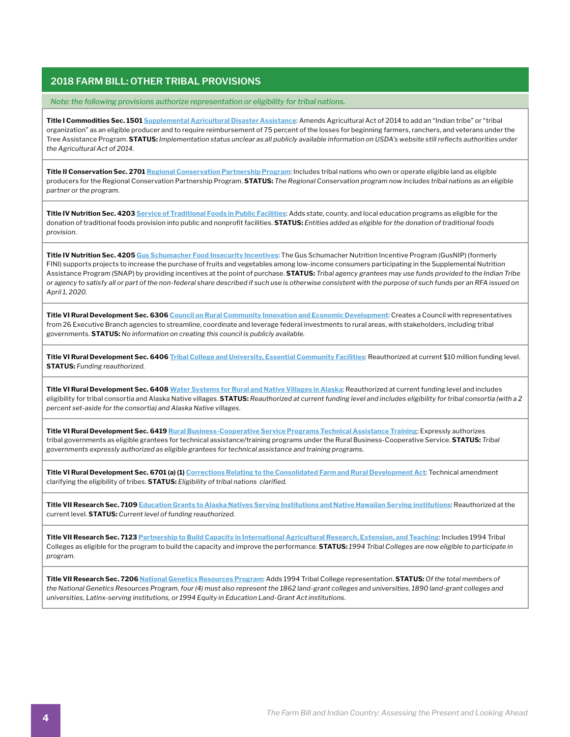*Note: the following provisions authorize representation or eligibility for tribal nations.*

**Title I Commodities Sec. 1501 [Supplemental Agricultural Disaster Assistance](https://www.fsa.usda.gov/programs-and-services/disaster-assistance-program/)**: Amends Agricultural Act of 2014 to add an "Indian tribe" or "tribal organization" as an eligible producer and to require reimbursement of 75 percent of the losses for beginning farmers, ranchers, and veterans under the Tree Assistance Program. **STATUS:** *Implementation status unclear as all publicly available information on USDA's website still reflects authorities under the Agricultural Act of 2014.* 

**Title II Conservation Sec. 2701 [Regional Conservation Partnership Program](https://www.grants.gov/web/grants/view-opportunity.html?oppId=328578)**: Includes tribal nations who own or operate eligible land as eligible producers for the Regional Conservation Partnership Program. **STATUS:** *The Regional Conservation program now includes tribal nations as an eligible partner or the program.*

**Title IV Nutrition Sec. 4203 [Service of Traditional Foods in Public Facilities](https://www.law.cornell.edu/uscode/text/25/1685)**: Adds state, county, and local education programs as eligible for the donation of traditional foods provision into public and nonprofit facilities. **STATUS:** *Entities added as eligible for the donation of traditional foods provision.*

**Title IV Nutrition Sec. 4205 [Gus Schumacher Food Insecurity Incentives](https://nifa.usda.gov/program/gus-schumacher-nutrition-incentive-grant-program)**: The Gus Schumacher Nutrition Incentive Program (GusNIP) (formerly FINI) supports projects to increase the purchase of fruits and vegetables among low-income consumers participating in the Supplemental Nutrition Assistance Program (SNAP) by providing incentives at the point of purchase. **STATUS:** *Tribal agency grantees may use funds provided to the Indian Tribe or agency to satisfy all or part of the non-federal share described if such use is otherwise consistent with the purpose of such funds per an RFA issued on April 1, 2020.*

**Title VI Rural Development Sec. 6306 [Council on Rural Community Innovation and Economic Development](https://www.law.cornell.edu/uscode/text/7/2204b-3)**: Creates a Council with representatives from 26 Executive Branch agencies to streamline, coordinate and leverage federal investments to rural areas, with stakeholders, including tribal governments. **STATUS:** *No information on creating this council is publicly available.*

**Title VI Rural Development Sec. 6406 [Tribal College and University, Essential Community Facilities](https://codes.findlaw.com/us/title-7-agriculture/7-usc-sect-1926.html)**: Reauthorized at current \$10 million funding level. **STATUS:** *Funding reauthorized.*

**Title VI Rural Development Sec. 6408 [Water Systems for Rural and Native Villages in Alaska](https://www.law.cornell.edu/uscode/text/7/1926d)**: Reauthorized at current funding level and includes eligibility for tribal consortia and Alaska Native villages. **STATUS:** *Reauthorized at current funding level and includes eligibility for tribal consortia (with a 2 percent set-aside for the consortia) and Alaska Native villages.*

**Title VI Rural Development Sec. 6419 [Rural Business-Cooperative Service Programs Technical Assistance Training](https://www.rd.usda.gov/about-rd/agencies/rural-business-cooperative-service)**: Expressly authorizes tribal governments as eligible grantees for technical assistance/training programs under the Rural Business-Cooperative Service. **STATUS:** *Tribal governments expressly authorized as eligible grantees for technical assistance and training programs.*

**Title VI Rural Development Sec. 6701 (a) (1) [Corrections Relating to the Consolidated Farm and Rural Development Act](https://www.fsa.usda.gov/Internet/FSA_File/title6_rd_fb08.pdf)**: Technical amendment clarifying the eligibility of tribes. **STATUS:** *Eligibility of tribal nations clarified.*

**Title VII Research Sec. 7109 [Education Grants to Alaska Natives Serving Institutions and Native Hawaiian Serving institutions](https://www.law.cornell.edu/uscode/text/20/1059d)**: Reauthorized at the current level. **STATUS:** *Current level of funding reauthorized.*

**Title VII Research Sec. 7123 [Partnership to Build Capacity in International Agricultural Research, Extension, and Teaching](https://nifa.usda.gov/opportunities-global-engagement)**: Includes 1994 Tribal Colleges as eligible for the program to build the capacity and improve the performance. **STATUS:** *1994 Tribal Colleges are now eligible to participate in program.*

**Title VII Research Sec. 7206 [National Genetics Resources Program](https://nareeeab.ree.usda.gov/sites/default/files/2020-05/NAREE Board Published Federal Register Volume 85_0.pdf)**: Adds 1994 Tribal College representation. **STATUS:** *Of the total members of the National Genetics Resources Program, four (4) must also represent the 1862 land-grant colleges and universities, 1890 land-grant colleges and universities, Latinx-serving institutions, or 1994 Equity in Education Land-Grant Act institutions.*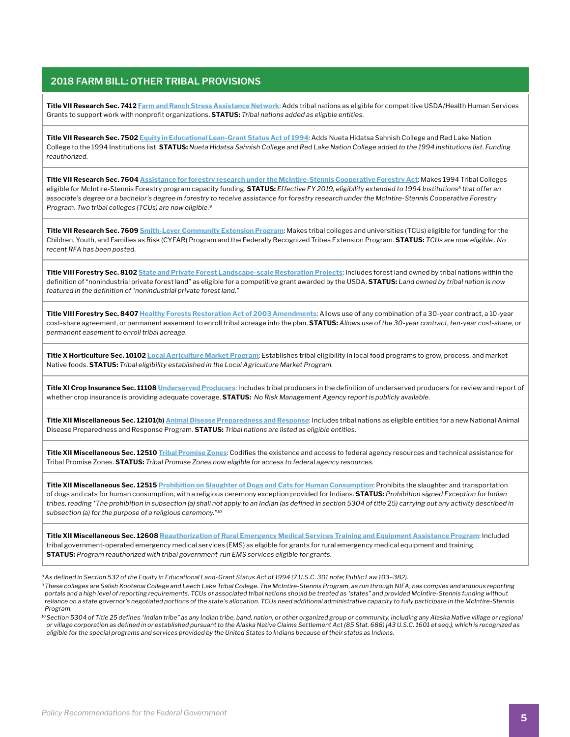**Title VII Research Sec. 7412 [Farm and Ranch Stress Assistance Network](https://nifa.usda.gov/sites/default/files/rfa/FY-2020-FRSAN-20200430.pdf)**: Adds tribal nations as eligible for competitive USDA/Health Human Services Grants to support work with nonprofit organizations. **STATUS:** *Tribal nations added as eligible entities.*

**Title VII Research Sec. 7502 [Equity in Educational Lean-Grant Status Act of 1994](https://www.law.cornell.edu/topn/equity_in_educational_land-grant_status_act_of_1994)**: Adds Nueta Hidatsa Sahnish College and Red Lake Nation College to the 1994 Institutions list. **STATUS:** *Nueta Hidatsa Sahnish College and Red Lake Nation College added to the 1994 institutions list. Funding reauthorized.*

**Title VII Research Sec. 7604 [Assistance for forestry research under the McIntire-Stennis Cooperative Forestry Act](https://nifa.usda.gov/resource/mcintire-stennis-cooperative-forestry-program-administrative-regulations-summary)**: Makes 1994 Tribal Colleges eligible for McIntire-Stennis Forestry program capacity funding. **STATUS:** *Effective FY 2019, eligibility extended to 1994 Institutions<sup>8</sup> that offer an associate's degree or a bachelor's degree in forestry to receive assistance for forestry research under the McIntire-Stennis Cooperative Forestry Program. Two tribal colleges (TCUs) are now eligible.9*

**Title VII Research Sec. 7609 [Smith-Lever Community Extension Program](https://nifa.usda.gov/sites/default/files/resource/NIFA-20-016-NIFA-Federal-Assistance-Policy-Guide.pdf)**: Makes tribal colleges and universities (TCUs) eligible for funding for the Children, Youth, and Families as Risk (CYFAR) Program and the Federally Recognized Tribes Extension Program. **STATUS:** *TCUs are now eligible . No recent RFA has been posted.*

**Title VIII Forestry Sec. 8102 [State and Private Forest Landscape-scale Restoration Projects](https://www.fs.usda.gov/managing-land/private-land/landscape-scale-restoration)**: Includes forest land owned by tribal nations within the definition of "nonindustrial private forest land" as eligible for a competitive grant awarded by the USDA. **STATUS:** *Land owned by tribal nation is now featured in the definition of "nonindustrial private forest land."*

**Title VIII Forestry Sec. 8407 [Healthy Forests Restoration Act of 2003 Amendments](https://www.fs.usda.gov/managing-land/farm-bill)**: Allows use of any combination of a 30-year contract, a 10-year cost-share agreement, or permanent easement to enroll tribal acreage into the plan. **STATUS:** *Allows use of the 30-year contract, ten-year cost-share, or permanent easement to enroll tribal acreage.*

**Title X Horticulture Sec. 10102 [Local Agriculture Market Program](https://www.ams.usda.gov/services/grants/lfpp)**: Establishes tribal eligibility in local food programs to grow, process, and market Native foods. **STATUS:** *Tribal eligibility established in the Local Agriculture Market Program.*

**Title XI Crop Insurance Sec. 11108 [Underserved Producers](https://www.rma.usda.gov/farmbill)**: Includes tribal producers in the definition of underserved producers for review and report of whether crop insurance is providing adequate coverage. **STATUS:** *No Risk Management Agency report is publicly available.*

**Title XII Miscellaneous Sec. 12101(b) [Animal Disease Preparedness and Response](https://www.aphis.usda.gov/animal_health/farmbill/farmbill-2020-funding-opportunity.pdf)**: Includes tribal nations as eligible entities for a new National Animal Disease Preparedness and Response Program. **STATUS:** *Tribal nations are listed as eligible entities.*

**Title XII Miscellaneous Sec. 12510 [Tribal Promise Zones](https://www.hudexchange.info/programs/promise-zones/)**: Codifies the existence and access to federal agency resources and technical assistance for Tribal Promise Zones. **STATUS:** *Tribal Promise Zones now eligible for access to federal agency resources.*

**Title XII Miscellaneous Sec. 12515 [Prohibition on Slaughter of Dogs and Cats for Human Consumption](https://uscode.house.gov/view.xhtml?req=granuleid:USC-prelim-title7-section2160&num=0&edition=prelim)**: Prohibits the slaughter and transportation of dogs and cats for human consumption, with a religious ceremony exception provided for Indians. **STATUS:** *Prohibition signed Exception for Indian tribes, reading "The prohibition in subsection (a) shall not apply to an Indian (as defined in section 5304 of title 25) carrying out any activity described in subsection (a) for the purpose of a religious ceremony."<sup>10</sup>*

**Title XII Miscellaneous Sec. 12608 [Reauthorization of Rural Emergency Medical Services Training and Equipment Assistance Program](https://www.samhsa.gov/sites/default/files/grants/pdf/fy-2020-ems-training-foa.pdf)**: Included tribal government-operated emergency medical services (EMS) as eligible for grants for rural emergency medical equipment and training. **STATUS:** *Program reauthorized with tribal government-run EMS services eligible for grants.*

*<sup>8</sup>As defined in Section 532 of the Equity in Educational Land-Grant Status Act of 1994 (7 U.S.C. 301 note; Public Law 103–382).* 

*<sup>10</sup>Section 5304 of Title 25 defines "Indian tribe" as any Indian tribe, band, nation, or other organized group or community, including any Alaska Native village or regional or village corporation as defined in or established pursuant to the Alaska Native Claims Settlement Act (85 Stat. 688) [43 U.S.C. 1601 et seq.], which is recognized as eligible for the special programs and services provided by the United States to Indians because of their status as Indians.*

*<sup>9</sup> These colleges are Salish Kootenai College and Leech Lake Tribal College. The McIntire-Stennis Program, as run through NIFA, has complex and arduous reporting portals and a high level of reporting requirements. TCUs or associated tribal nations should be treated as "states" and provided McIntire-Stennis funding without reliance on a state governor's negotiated portions of the state's allocation. TCUs need additional administrative capacity to fully participate in the McIntire-Stennis Program.*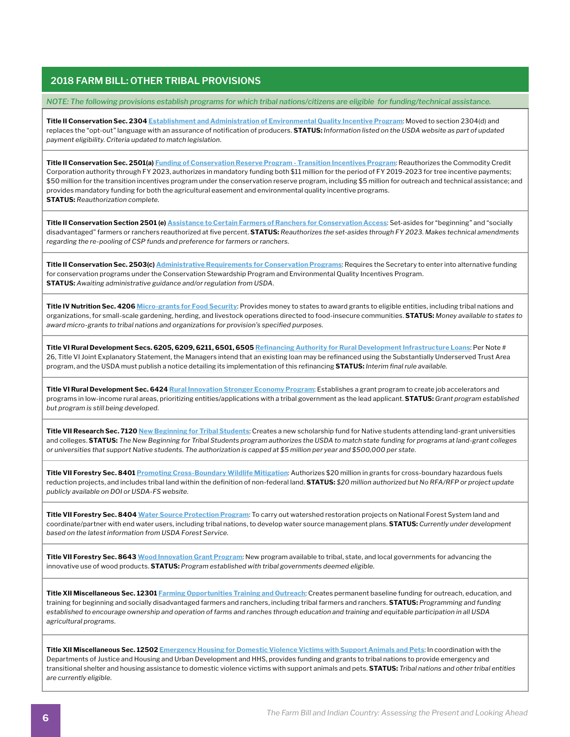*NOTE: The following provisions establish programs for which tribal nations/citizens are eligible for funding/technical assistance.*

**Title II Conservation Sec. 2304 [Establishment and Administration of Environmental Quality Incentive Program](https://www.nrcs.usda.gov/wps/portal/nrcs/main/national/programs/financial/eqip/)**: Moved to section 2304(d) and replaces the "opt-out" language with an assurance of notification of producers. **STATUS:** *Information listed on the USDA website as part of updated payment eligibility. Criteria updated to match legislation.*

**Title II Conservation Sec. 2501(a) [Funding of Conservation Reserve Program - Transition Incentives Program](https://www.fsa.usda.gov/Assets/USDA-FSA-Public/usdafiles/FactSheets/2019/crp_transition_incentive_program-fact_sheet.pdf)**: Reauthorizes the Commodity Credit Corporation authority through FY 2023, authorizes in mandatory funding both \$11 million for the period of FY 2019-2023 for tree incentive payments; \$50 million for the transition incentives program under the conservation reserve program, including \$5 million for outreach and technical assistance; and provides mandatory funding for both the agricultural easement and environmental quality incentive programs. **STATUS:** *Reauthorization complete.*

**Title II Conservation Section 2501 (e) [Assistance to Certain Farmers of Ranchers for Conservation Access](https://www.fsa.usda.gov/Assets/USDA-FSA-Public/usdafiles/FactSheets/2019/sda_loans-fact_sheet-aug_2019.pdf)**: Set-asides for "beginning" and "socially disadvantaged" farmers or ranchers reauthorized at five percent. **STATUS:** *Reauthorizes the set-asides through FY 2023. Makes technical amendments regarding the re-pooling of CSP funds and preference for farmers or ranchers.*

**Title II Conservation Sec. 2503(c) [Administrative Requirements for Conservation Programs](https://www.federalregister.gov/documents/2020/02/13/2020-01812/regional-conservation-partnership-program)**: Requires the Secretary to enter into alternative funding for conservation programs under the Conservation Stewardship Program and Environmental Quality Incentives Program. **STATUS:** *Awaiting administrative guidance and/or regulation from USDA.* 

**Title IV Nutrition Sec. 4206 [Micro-grants for Food Security](https://www.ams.usda.gov/services/grants/mgfsp/apply)**: Provides money to states to award grants to eligible entities, including tribal nations and organizations, for small-scale gardening, herding, and livestock operations directed to food-insecure communities. **STATUS:** *Money available to states to award micro-grants to tribal nations and organizations for provision's specified purposes.*

**Title VI Rural Development Secs. 6205, 6209, 6211, 6501, 6505 [Refinancing Authority for Rural Development Infrastructure Loans](https://www.federalregister.gov/documents/2020/03/12/2020-04086/rural-broadband-loans-loangrant-combinations-and-loan-guarantees)**: Per Note # 26, Title VI Joint Explanatory Statement, the Managers intend that an existing loan may be refinanced using the Substantially Underserved Trust Area program, and the USDA must publish a notice detailing its implementation of this refinancing **STATUS:** *Interim final rule available.*

**Title VI Rural Development Sec. 6424 [Rural Innovation Stronger Economy Program](https://www.govinfo.gov/content/pkg/FR-2020-07-22/pdf/2020-15821.pdf)**: Establishes a grant program to create job accelerators and programs in low-income rural areas, prioritizing entities/applications with a tribal government as the lead applicant. **STATUS:** *Grant program established but program is still being developed.*

**Title VII Research Sec. 7120 [New Beginning for Tribal Students](https://nifa.usda.gov/funding-opportunity/new-beginning-tribal-students-programs-nbts?utm_content=&utm_medium=email&utm_name=&utm_source=govdelivery&utm_term=)**: Creates a new scholarship fund for Native students attending land-grant universities and colleges. **STATUS:** *The New Beginning for Tribal Students program authorizes the USDA to match state funding for programs at land-grant colleges or universities that support Native students. The authorization is capped at \$5 million per year and \$500,000 per state.*

**Title VII Forestry Sec. 8401 [Promoting Cross-Boundary Wildlife Mitigation](https://www.fs.fed.us/rm/pubs_series/rmrs/gtr/rmrs_gtr392.pdf)**: Authorizes \$20 million in grants for cross-boundary hazardous fuels reduction projects, and includes tribal land within the definition of non-federal land. **STATUS:** *\$20 million authorized but No RFA/RFP or project update publicly available on DOI or USDA-FS website.*

**Title VII Forestry Sec. 8404 [Water Source Protection Program](https://www.fs.usda.gov/sites/default/files/USFSWatershedManual20190825-508.pdf)**: To carry out watershed restoration projects on National Forest System land and coordinate/partner with end water users, including tribal nations, to develop water source management plans. **STATUS:** *Currently under development based on the latest information from USDA Forest Service.*

**Title VII Forestry Sec. 8643 [Wood Innovation Grant Program](https://www.fs.usda.gov/naspf/sites/default/files/cst29fy20woodinnovrpfinstructions_final_20190924.pdf)**: New program available to tribal, state, and local governments for advancing the innovative use of wood products. **STATUS:** *Program established with tribal governments deemed eligible.*

**Title XII Miscellaneous Sec. 12301 [Farming Opportunities Training and Outreach](https://nifa.usda.gov/sites/default/files/rfa/FY2020-BFRDP-2019-508-Mod-3-18-2020.pdf)**: Creates permanent baseline funding for outreach, education, and training for beginning and socially disadvantaged farmers and ranchers, including tribal farmers and ranchers. **STATUS:** *Programming and funding established to encourage ownership and operation of farms and ranches through education and training and equitable participation in all USDA agricultural programs.*

**Title XII Miscellaneous Sec. 12502 [Emergency Housing for Domestic Violence Victims with Support Animals and Pets](https://ovc.ojp.gov/sites/g/files/xyckuh226/files/media/document/OVC-2020-18473.pdf)**: In coordination with the Departments of Justice and Housing and Urban Development and HHS, provides funding and grants to tribal nations to provide emergency and transitional shelter and housing assistance to domestic violence victims with support animals and pets. **STATUS:** *Tribal nations and other tribal entities are currently eligible.*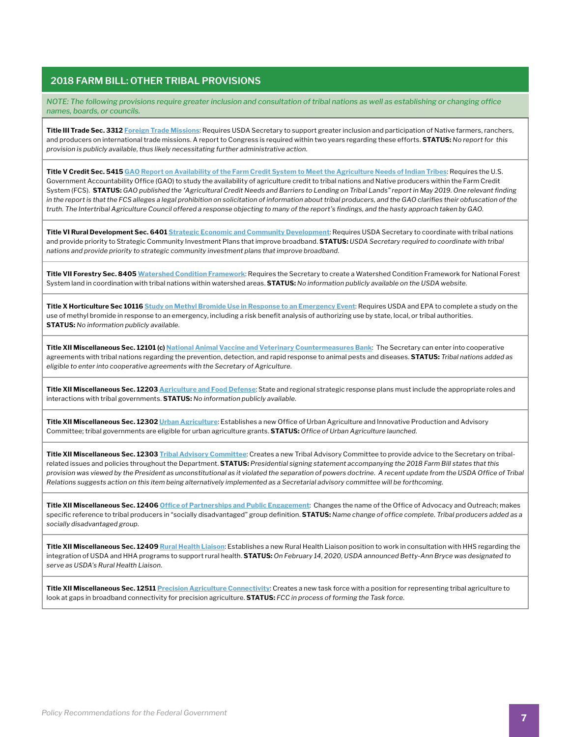*NOTE: The following provisions require greater inclusion and consultation of tribal nations as well as establishing or changing office names, boards, or councils.*

**Title III Trade Sec. 3312 [Foreign Trade Missions](https://www.law.cornell.edu/uscode/text/7/5608)**: Requires USDA Secretary to support greater inclusion and participation of Native farmers, ranchers, and producers on international trade missions. A report to Congress is required within two years regarding these efforts. **STATUS:** *No report for this provision is publicly available, thus likely necessitating further administrative action.*

**Title V Credit Sec. 5415 [GAO Report on Availability of the Farm Credit System to Meet the Agriculture Needs of Indian Tribes](https://www.gao.gov/assets/700/699019.pdf)**: Requires the U.S. Government Accountability Office (GAO) to study the availability of agriculture credit to tribal nations and Native producers within the Farm Credit System (FCS). **STATUS:** *GAO published the "Agricultural Credit Needs and Barriers to Lending on Tribal Lands" report in May 2019. One relevant finding in the report is that the FCS alleges a legal prohibition on solicitation of information about tribal producers, and the GAO clarifies their obfuscation of the truth. The Intertribal Agriculture Council offered a response objecting to many of the report's findings, and the hasty approach taken by GAO.*

**Title VI Rural Development Sec. 6401 [Strategic Economic and Community Development](https://www.rd.usda.gov/files/1980k.pdf)**: Requires USDA Secretary to coordinate with tribal nations and provide priority to Strategic Community Investment Plans that improve broadband. **STATUS:** *USDA Secretary required to coordinate with tribal nations and provide priority to strategic community investment plans that improve broadband.*

**Title VII Forestry Sec. 8405 [Watershed Condition Framework](https://www.fs.fed.us/naturalresources/watershed/condition_framework.shtml)**: Requires the Secretary to create a Watershed Condition Framework for National Forest System land in coordination with tribal nations within watershed areas. **STATUS:** *No information publicly available on the USDA website.* 

**Title X Horticulture Sec 10116 [Study on Methyl Bromide Use in Response to an Emergency Event](https://www.fs.usda.gov/managing-land/farm-bill)**: Requires USDA and EPA to complete a study on the use of methyl bromide in response to an emergency, including a risk benefit analysis of authorizing use by state, local, or tribal authorities. **STATUS:** *No information publicly available.*

**Title XII Miscellaneous Sec. 12101 (c) [National Animal Vaccine and Veterinary Countermeasures Bank](https://www.aphis.usda.gov/animal_health/farmbill/farmbill-2020-funding-opportunity.pdf)**: The Secretary can enter into cooperative agreements with tribal nations regarding the prevention, detection, and rapid response to animal pests and diseases. **STATUS:** *Tribal nations added as eligible to enter into cooperative agreements with the Secretary of Agriculture.*

**Title XII Miscellaneous Sec. 12203 [Agriculture and Food Defense](https://www.fsis.usda.gov/wps/portal/fsis/topics/food-defense-defense-and-emergency-response/food-defense-overview#:~:text=Homeland%20Security%20Presidential%20Directive%209%2C%20Defense%20of%20United,against%20terrorist%20attacks%2C%20major%20disasters%2C%20and%20other%20emergencies.)**: State and regional strategic response plans must include the appropriate roles and interactions with tribal governments. **STATUS:** *No information publicly available.*

**Title XII Miscellaneous Sec. 12302 [Urban Agriculture](https://www.farmers.gov/manage/urban/opportunities)**: Establishes a new Office of Urban Agriculture and Innovative Production and Advisory Committee; tribal governments are eligible for urban agriculture grants. **STATUS:** *Office of Urban Agriculture launched.*

**Title XII Miscellaneous Sec. 12303 [Tribal Advisory Committee](https://www.law.cornell.edu/uscode/text/7/6921)**: Creates a new Tribal Advisory Committee to provide advice to the Secretary on tribalrelated issues and policies throughout the Department. **STATUS:** *Presidential signing statement accompanying the 2018 Farm Bill states that this provision was viewed by the President as unconstitutional as it violated the separation of powers doctrine. A recent update from the USDA Office of Tribal Relations suggests action on this item being alternatively implemented as a Secretarial advisory committee will be forthcoming.*

**Title XII Miscellaneous Sec. 12406 [Office of Partnerships and Public Engagement](https://www.usda.gov/partnerships)**: Changes the name of the Office of Advocacy and Outreach; makes specific reference to tribal producers in "socially disadvantaged" group definition. **STATUS:** *Name change of office complete. Tribal producers added as a socially disadvantaged group.*

**Title XII Miscellaneous Sec. 12409 [Rural Health Liaison](https://www.rd.usda.gov/sites/default/files/USDA_RD_Rural_Health_Liaison2142020.pdf)**: Establishes a new Rural Health Liaison position to work in consultation with HHS regarding the integration of USDA and HHA programs to support rural health. **STATUS:** *On February 14, 2020, USDA announced Betty-Ann Bryce was designated to serve as USDA's Rural Health Liaison.*

**Title XII Miscellaneous Sec. 12511 [Precision Agriculture Connectivity](https://www.fcc.gov/task-force-reviewing-connectivity-and-technology-needs-precision-agriculture-united-states)**: Creates a new task force with a position for representing tribal agriculture to look at gaps in broadband connectivity for precision agriculture. **STATUS:** *FCC in process of forming the Task force.*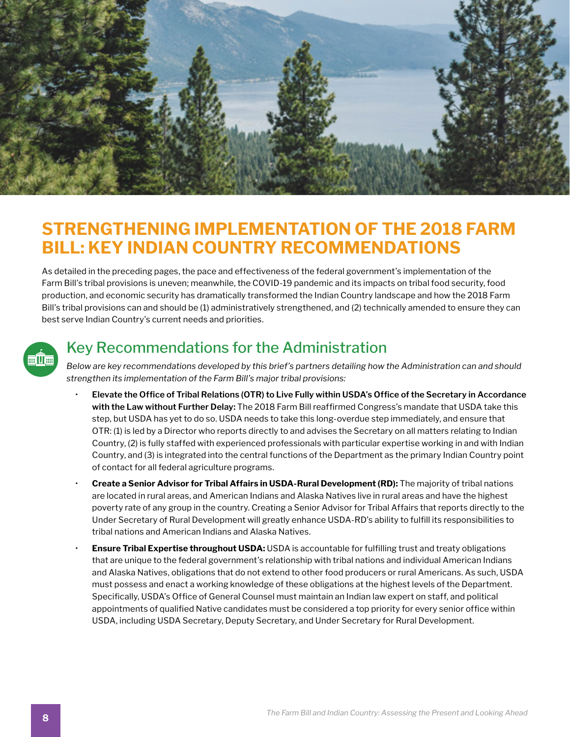

# **STRENGTHENING IMPLEMENTATION OF THE 2018 FARM BILL: KEY INDIAN COUNTRY RECOMMENDATIONS**

As detailed in the preceding pages, the pace and effectiveness of the federal government's implementation of the Farm Bill's tribal provisions is uneven; meanwhile, the COVID-19 pandemic and its impacts on tribal food security, food production, and economic security has dramatically transformed the Indian Country landscape and how the 2018 Farm Bill's tribal provisions can and should be (1) administratively strengthened, and (2) technically amended to ensure they can best serve Indian Country's current needs and priorities.



### Key Recommendations for the Administration

*Below are key recommendations developed by this brief's partners detailing how the Administration can and should strengthen its implementation of the Farm Bill's major tribal provisions:*

- **Elevate the Office of Tribal Relations (OTR) to Live Fully within USDA's Office of the Secretary in Accordance with the Law without Further Delay:** The 2018 Farm Bill reaffirmed Congress's mandate that USDA take this step, but USDA has yet to do so. USDA needs to take this long-overdue step immediately, and ensure that OTR: (1) is led by a Director who reports directly to and advises the Secretary on all matters relating to Indian Country, (2) is fully staffed with experienced professionals with particular expertise working in and with Indian Country, and (3) is integrated into the central functions of the Department as the primary Indian Country point of contact for all federal agriculture programs.
- **Create a Senior Advisor for Tribal Affairs in USDA-Rural Development (RD):** The majority of tribal nations are located in rural areas, and American Indians and Alaska Natives live in rural areas and have the highest poverty rate of any group in the country. Creating a Senior Advisor for Tribal Affairs that reports directly to the Under Secretary of Rural Development will greatly enhance USDA-RD's ability to fulfill its responsibilities to tribal nations and American Indians and Alaska Natives.
- **Ensure Tribal Expertise throughout USDA:** USDA is accountable for fulfilling trust and treaty obligations that are unique to the federal government's relationship with tribal nations and individual American Indians and Alaska Natives, obligations that do not extend to other food producers or rural Americans. As such, USDA must possess and enact a working knowledge of these obligations at the highest levels of the Department. Specifically, USDA's Office of General Counsel must maintain an Indian law expert on staff, and political appointments of qualified Native candidates must be considered a top priority for every senior office within USDA, including USDA Secretary, Deputy Secretary, and Under Secretary for Rural Development.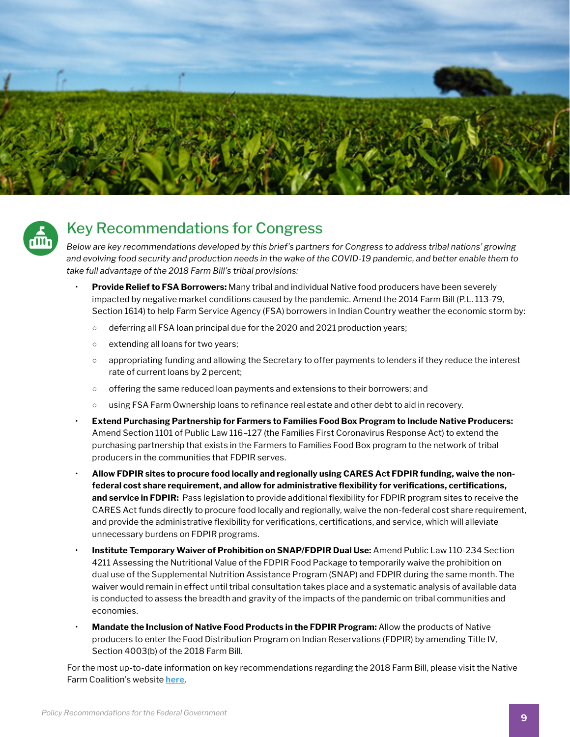



### Key Recommendations for Congress

*Below are key recommendations developed by this brief's partners for Congress to address tribal nations' growing and evolving food security and production needs in the wake of the COVID-19 pandemic, and better enable them to take full advantage of the 2018 Farm Bill's tribal provisions:*

- **Provide Relief to FSA Borrowers:** Many tribal and individual Native food producers have been severely impacted by negative market conditions caused by the pandemic. Amend the 2014 Farm Bill (P.L. 113-79, Section 1614) to help Farm Service Agency (FSA) borrowers in Indian Country weather the economic storm by:
	- o deferring all FSA loan principal due for the 2020 and 2021 production years;
	- extending all loans for two years;
	- appropriating funding and allowing the Secretary to offer payments to lenders if they reduce the interest rate of current loans by 2 percent;
	- offering the same reduced loan payments and extensions to their borrowers; and
	- using FSA Farm Ownership loans to refinance real estate and other debt to aid in recovery.
- **Extend Purchasing Partnership for Farmers to Families Food Box Program to Include Native Producers:**  Amend Section 1101 of Public Law 116–127 (the Families First Coronavirus Response Act) to extend the purchasing partnership that exists in the Farmers to Families Food Box program to the network of tribal producers in the communities that FDPIR serves.
- **Allow FDPIR sites to procure food locally and regionally using CARES Act FDPIR funding, waive the nonfederal cost share requirement, and allow for administrative flexibility for verifications, certifications, and service in FDPIR:** Pass legislation to provide additional flexibility for FDPIR program sites to receive the CARES Act funds directly to procure food locally and regionally, waive the non-federal cost share requirement, and provide the administrative flexibility for verifications, certifications, and service, which will alleviate unnecessary burdens on FDPIR programs.
- **Institute Temporary Waiver of Prohibition on SNAP/FDPIR Dual Use:** Amend Public Law 110-234 Section 4211 Assessing the Nutritional Value of the FDPIR Food Package to temporarily waive the prohibition on dual use of the Supplemental Nutrition Assistance Program (SNAP) and FDPIR during the same month. The waiver would remain in effect until tribal consultation takes place and a systematic analysis of available data is conducted to assess the breadth and gravity of the impacts of the pandemic on tribal communities and economies.
- **Mandate the Inclusion of Native Food Products in the FDPIR Program:** Allow the products of Native producers to enter the Food Distribution Program on Indian Reservations (FDPIR) by amending Title IV, Section 4003(b) of the 2018 Farm Bill.

For the most up-to-date information on key recommendations regarding the 2018 Farm Bill, please visit the Native Farm Coalition's website **[here](https://indigenousfoodandag.com/resources/native-farm-bill-coalition/)**.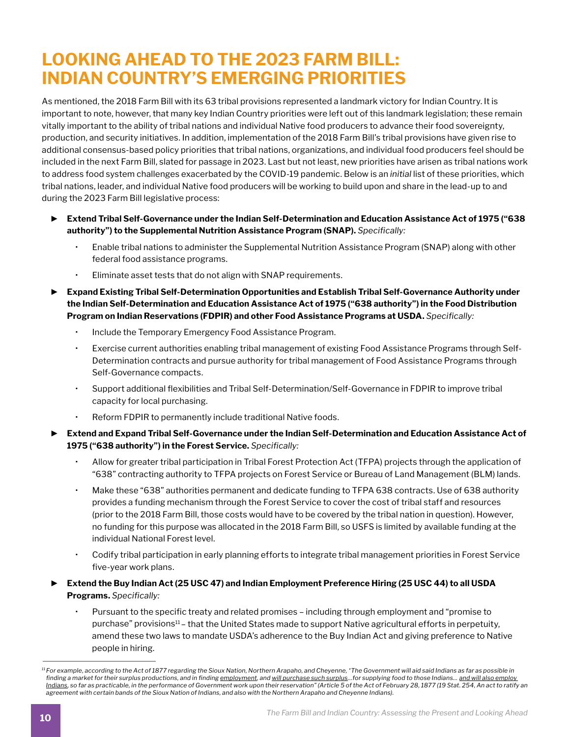# **LOOKING AHEAD TO THE 2023 FARM BILL: INDIAN COUNTRY'S EMERGING PRIORITIES**

As mentioned, the 2018 Farm Bill with its 63 tribal provisions represented a landmark victory for Indian Country. It is important to note, however, that many key Indian Country priorities were left out of this landmark legislation; these remain vitally important to the ability of tribal nations and individual Native food producers to advance their food sovereignty, production, and security initiatives. In addition, implementation of the 2018 Farm Bill's tribal provisions have given rise to additional consensus-based policy priorities that tribal nations, organizations, and individual food producers feel should be included in the next Farm Bill, slated for passage in 2023. Last but not least, new priorities have arisen as tribal nations work to address food system challenges exacerbated by the COVID-19 pandemic. Below is an *initial* list of these priorities, which tribal nations, leader, and individual Native food producers will be working to build upon and share in the lead-up to and during the 2023 Farm Bill legislative process:

- ► **Extend Tribal Self-Governance under the Indian Self-Determination and Education Assistance Act of 1975 ("638 authority") to the Supplemental Nutrition Assistance Program (SNAP).** *Specifically:*
	- Enable tribal nations to administer the Supplemental Nutrition Assistance Program (SNAP) along with other federal food assistance programs.
	- Eliminate asset tests that do not align with SNAP requirements.
- ► **Expand Existing Tribal Self-Determination Opportunities and Establish Tribal Self-Governance Authority under the Indian Self-Determination and Education Assistance Act of 1975 ("638 authority") in the Food Distribution Program on Indian Reservations (FDPIR) and other Food Assistance Programs at USDA.** *Specifically:*
	- Include the Temporary Emergency Food Assistance Program.
	- Exercise current authorities enabling tribal management of existing Food Assistance Programs through Self-Determination contracts and pursue authority for tribal management of Food Assistance Programs through Self-Governance compacts.
	- Support additional flexibilities and Tribal Self-Determination/Self-Governance in FDPIR to improve tribal capacity for local purchasing.
	- Reform FDPIR to permanently include traditional Native foods.
- ► **Extend and Expand Tribal Self-Governance under the Indian Self-Determination and Education Assistance Act of 1975 ("638 authority") in the Forest Service.** *Specifically:*
	- Allow for greater tribal participation in Tribal Forest Protection Act (TFPA) projects through the application of "638" contracting authority to TFPA projects on Forest Service or Bureau of Land Management (BLM) lands.
	- Make these "638" authorities permanent and dedicate funding to TFPA 638 contracts. Use of 638 authority provides a funding mechanism through the Forest Service to cover the cost of tribal staff and resources (prior to the 2018 Farm Bill, those costs would have to be covered by the tribal nation in question). However, no funding for this purpose was allocated in the 2018 Farm Bill, so USFS is limited by available funding at the individual National Forest level.
	- Codify tribal participation in early planning efforts to integrate tribal management priorities in Forest Service five-year work plans.
- ► **Extend the Buy Indian Act (25 USC 47) and Indian Employment Preference Hiring (25 USC 44) to all USDA Programs.** *Specifically:* 
	- Pursuant to the specific treaty and related promises including through employment and "promise to purchase" provisions<sup>11</sup> – that the United States made to support Native agricultural efforts in perpetuity, amend these two laws to mandate USDA's adherence to the Buy Indian Act and giving preference to Native people in hiring.

<sup>&</sup>lt;sup>11</sup> For example, according to the Act of 1877 regarding the Sioux Nation, Northern Arapaho, and Cheyenne, 'The Government will aid said Indians as far as possible in finding a market for their surplus productions, and in finding *employment*, and will purchase such surplus...for supplying food to those Indians... and will also employ *Indians, so far as practicable, in the performance of Government work upon their reservation" (Article 5 of the Act of February 28, 1877 (19 Stat. 254, An act to ratify an agreement with certain bands of the Sioux Nation of Indians, and also with the Northern Arapaho and Cheyenne Indians).*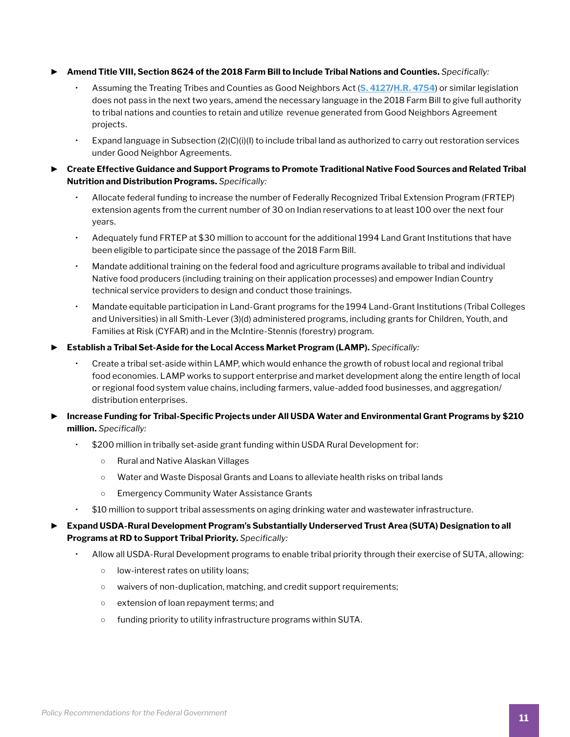- ► **Amend Title VIII, Section 8624 of the 2018 Farm Bill to Include Tribal Nations and Counties.** *Specifically:*
	- Assuming the Treating Tribes and Counties as Good Neighbors Act (**[S. 4127](https://www.risch.senate.gov/public/_cache/files/5/2/52d8a90d-2044-4a4f-8be1-771a386deecf/52C0D638E1DAA7D7633988489DFDDB55.gna-final.pdf)**/**[H.R. 4754](https://www.govtrack.us/congress/bills/116/hr7454/text)**) or similar legislation does not pass in the next two years, amend the necessary language in the 2018 Farm Bill to give full authority to tribal nations and counties to retain and utilize revenue generated from Good Neighbors Agreement projects.
	- Expand language in Subsection (2)(C)(i)(I) to include tribal land as authorized to carry out restoration services under Good Neighbor Agreements.
- ► **Create Effective Guidance and Support Programs to Promote Traditional Native Food Sources and Related Tribal Nutrition and Distribution Programs.** *Specifically:*
	- Allocate federal funding to increase the number of Federally Recognized Tribal Extension Program (FRTEP) extension agents from the current number of 30 on Indian reservations to at least 100 over the next four years.
	- Adequately fund FRTEP at \$30 million to account for the additional 1994 Land Grant Institutions that have been eligible to participate since the passage of the 2018 Farm Bill.
	- Mandate additional training on the federal food and agriculture programs available to tribal and individual Native food producers (including training on their application processes) and empower Indian Country technical service providers to design and conduct those trainings.
	- Mandate equitable participation in Land-Grant programs for the 1994 Land-Grant Institutions (Tribal Colleges and Universities) in all Smith-Lever (3)(d) administered programs, including grants for Children, Youth, and Families at Risk (CYFAR) and in the McIntire-Stennis (forestry) program.
- ► **Establish a Tribal Set-Aside for the Local Access Market Program (LAMP).** *Specifically:*
	- Create a tribal set-aside within LAMP, which would enhance the growth of robust local and regional tribal food economies. LAMP works to support enterprise and market development along the entire length of local or regional food system value chains, including farmers, value-added food businesses, and aggregation/ distribution enterprises.
- ► **Increase Funding for Tribal-Specific Projects under All USDA Water and Environmental Grant Programs by \$210 million.** *Specifically:*
	- \$200 million in tribally set-aside grant funding within USDA Rural Development for:
		- Rural and Native Alaskan Villages
		- Water and Waste Disposal Grants and Loans to alleviate health risks on tribal lands
		- Emergency Community Water Assistance Grants
	- \$10 million to support tribal assessments on aging drinking water and wastewater infrastructure.
- ► **Expand USDA-Rural Development Program's Substantially Underserved Trust Area (SUTA) Designation to all Programs at RD to Support Tribal Priority.** *Specifically:*
	- Allow all USDA-Rural Development programs to enable tribal priority through their exercise of SUTA, allowing:
		- low-interest rates on utility loans;
		- waivers of non-duplication, matching, and credit support requirements;
		- extension of loan repayment terms; and
		- funding priority to utility infrastructure programs within SUTA.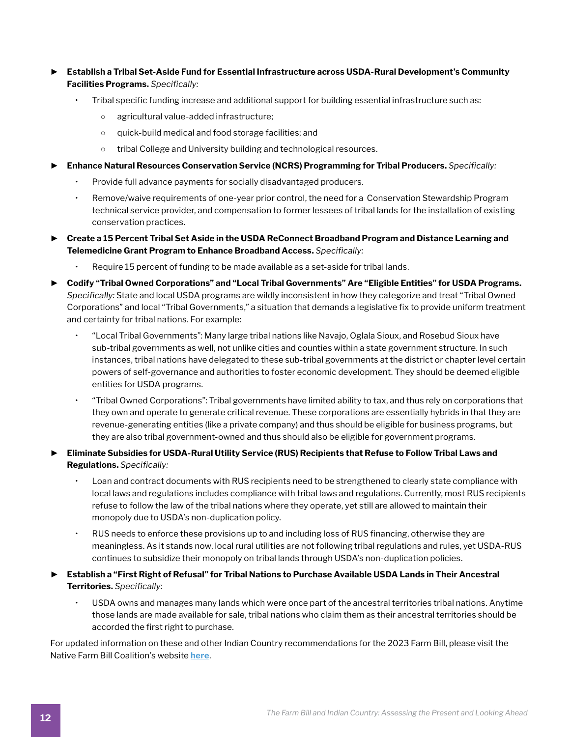- ► **Establish a Tribal Set-Aside Fund for Essential Infrastructure across USDA-Rural Development's Community Facilities Programs.** *Specifically:*
	- Tribal specific funding increase and additional support for building essential infrastructure such as:
		- agricultural value-added infrastructure;
		- quick-build medical and food storage facilities; and
		- o tribal College and University building and technological resources.
- ► **Enhance Natural Resources Conservation Service (NCRS) Programming for Tribal Producers.** *Specifically:*
	- Provide full advance payments for socially disadvantaged producers.
	- Remove/waive requirements of one-year prior control, the need for a Conservation Stewardship Program technical service provider, and compensation to former lessees of tribal lands for the installation of existing conservation practices.
- ► **Create a 15 Percent Tribal Set Aside in the USDA ReConnect Broadband Program and Distance Learning and Telemedicine Grant Program to Enhance Broadband Access.** *Specifically:*
	- Require 15 percent of funding to be made available as a set-aside for tribal lands.
- ► **Codify "Tribal Owned Corporations" and "Local Tribal Governments" Are "Eligible Entities" for USDA Programs.**  *Specifically:* State and local USDA programs are wildly inconsistent in how they categorize and treat "Tribal Owned Corporations" and local "Tribal Governments," a situation that demands a legislative fix to provide uniform treatment and certainty for tribal nations. For example:
	- "Local Tribal Governments": Many large tribal nations like Navajo, Oglala Sioux, and Rosebud Sioux have sub-tribal governments as well, not unlike cities and counties within a state government structure. In such instances, tribal nations have delegated to these sub-tribal governments at the district or chapter level certain powers of self-governance and authorities to foster economic development. They should be deemed eligible entities for USDA programs.
	- "Tribal Owned Corporations": Tribal governments have limited ability to tax, and thus rely on corporations that they own and operate to generate critical revenue. These corporations are essentially hybrids in that they are revenue-generating entities (like a private company) and thus should be eligible for business programs, but they are also tribal government-owned and thus should also be eligible for government programs.
- ► **Eliminate Subsidies for USDA-Rural Utility Service (RUS) Recipients that Refuse to Follow Tribal Laws and Regulations.** *Specifically:*
	- Loan and contract documents with RUS recipients need to be strengthened to clearly state compliance with local laws and regulations includes compliance with tribal laws and regulations. Currently, most RUS recipients refuse to follow the law of the tribal nations where they operate, yet still are allowed to maintain their monopoly due to USDA's non-duplication policy.
	- RUS needs to enforce these provisions up to and including loss of RUS financing, otherwise they are meaningless. As it stands now, local rural utilities are not following tribal regulations and rules, yet USDA-RUS continues to subsidize their monopoly on tribal lands through USDA's non-duplication policies.
- ► **Establish a "First Right of Refusal" for Tribal Nations to Purchase Available USDA Lands in Their Ancestral Territories.** *Specifically:*
	- USDA owns and manages many lands which were once part of the ancestral territories tribal nations. Anytime those lands are made available for sale, tribal nations who claim them as their ancestral territories should be accorded the first right to purchase.

For updated information on these and other Indian Country recommendations for the 2023 Farm Bill, please visit the Native Farm Bill Coalition's website **[here](https://indigenousfoodandag.com/resources/native-farm-bill-coalition/)**.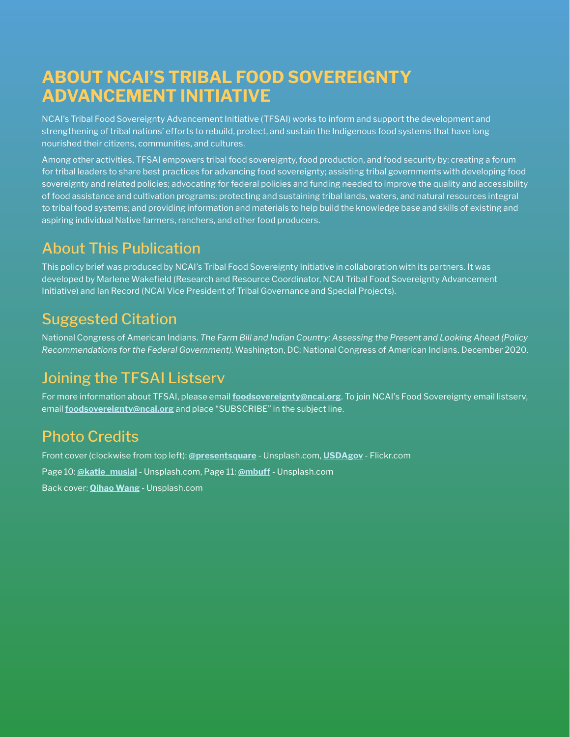# **ABOUT NCAI'S TRIBAL FOOD SOVEREIGNTY ADVANCEMENT INITIATIVE**

NCAI's Tribal Food Sovereignty Advancement Initiative (TFSAI) works to inform and support the development and strengthening of tribal nations' efforts to rebuild, protect, and sustain the Indigenous food systems that have long nourished their citizens, communities, and cultures.

Among other activities, TFSAI empowers tribal food sovereignty, food production, and food security by: creating a forum for tribal leaders to share best practices for advancing food sovereignty; assisting tribal governments with developing food sovereignty and related policies; advocating for federal policies and funding needed to improve the quality and accessibility of food assistance and cultivation programs; protecting and sustaining tribal lands, waters, and natural resources integral to tribal food systems; and providing information and materials to help build the knowledge base and skills of existing and aspiring individual Native farmers, ranchers, and other food producers.

# About This Publication

This policy brief was produced by NCAI's Tribal Food Sovereignty Initiative in collaboration with its partners. It was developed by Marlene Wakefield (Research and Resource Coordinator, NCAI Tribal Food Sovereignty Advancement Initiative) and Ian Record (NCAI Vice President of Tribal Governance and Special Projects).

### Suggested Citation

National Congress of American Indians. *The Farm Bill and Indian Country: Assessing the Present and Looking Ahead (Policy Recommendations for the Federal Government)*. Washington, DC: National Congress of American Indians. December 2020.

# Joining the TFSAI Listserv

For more information about TFSAI, please email **[foodsovereignty@ncai.org](mailto:foodsovereignty@ncai.org)**. To join NCAI's Food Sovereignty email listserv, email **[foodsovereignty@ncai.org](mailto:foodsovereignty@ncai.org)** and place "SUBSCRIBE" in the subject line.

# Photo Credits

Front cover (clockwise from top left): **[@presentsquare](https://unsplash.com/@presentsquare)** - Unsplash.com, **[USDAgov](https://www.flickr.com/people/usdagov/)** - Flickr.com Page 10: **[@katie\\_musial](https://unsplash.com/@katie_musial)** - Unsplash.com, Page 11: **[@mbuff](https://unsplash.com/@mbuff)** - Unsplash.com Back cover: **[Qihao Wang](https://unsplash.com/@tommyskywalker)** - Unsplash.com